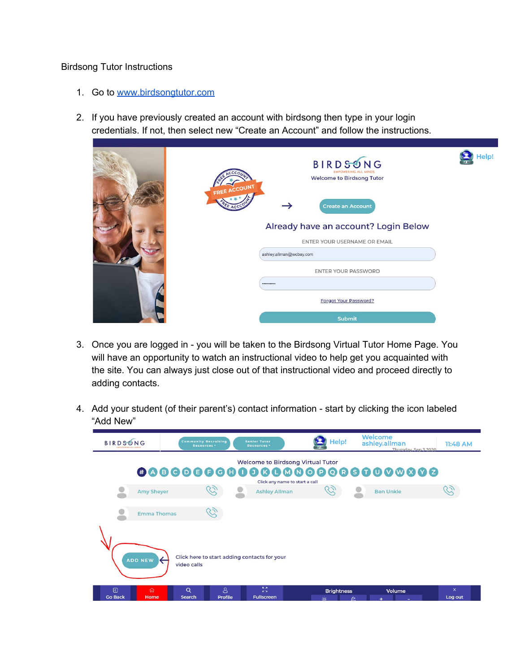## Birdsong Tutor Instructions

- 1. Go to [www.birdsongtutor.com](http://www.birdsongtutor.com/)
- 2. If you have previously created an account with birdsong then type in your login credentials. If not, then select new "Create an Account" and follow the instructions.

|  | BIRDSONG<br><b>EMPOWERING ALL MINDS</b><br><b>Welcome to Birdsong Tutor</b><br>FREE ACCOUNT<br><b>Create an Account</b><br>Already have an account? Login Below | Help! |
|--|-----------------------------------------------------------------------------------------------------------------------------------------------------------------|-------|
|  | ENTER YOUR USERNAME OR EMAIL<br>ashley.allman@wcbay.com                                                                                                         |       |
|  | ENTER YOUR PASSWORD<br>                                                                                                                                         |       |
|  | Forgot Your Password?<br><b>Submit</b>                                                                                                                          |       |

- 3. Once you are logged in you will be taken to the Birdsong Virtual Tutor Home Page. You will have an opportunity to watch an instructional video to help get you acquainted with the site. You can always just close out of that instructional video and proceed directly to adding contacts.
- 4. Add your student (of their parent's) contact information start by clicking the icon labeled "Add New"

| <b>BIRDSONG</b><br><b>EMPOWERING ALL MIT</b>                                  | <b>Community Recruiting</b><br>Resources <sup>+</sup> | <b>Senior Tutor</b><br>Resources <sup>*</sup>                                | Help!<br><b>LP DES</b>         | Welcome<br>ashley.allman<br>Thursday, Sep 3 2020 | 11:48 AM            |  |  |  |  |
|-------------------------------------------------------------------------------|-------------------------------------------------------|------------------------------------------------------------------------------|--------------------------------|--------------------------------------------------|---------------------|--|--|--|--|
| Welcome to Birdsong Virtual Tutor                                             |                                                       |                                                                              |                                |                                                  |                     |  |  |  |  |
| <b>Amy Sheyer</b>                                                             |                                                       | <b>Ashley Allman</b>                                                         | Click any name to start a call | <b>Ben Unkle</b>                                 |                     |  |  |  |  |
|                                                                               | <b>Emma Thomas</b>                                    |                                                                              |                                |                                                  |                     |  |  |  |  |
| Click here to start adding contacts for your<br><b>ADD NEW</b><br>video calls |                                                       |                                                                              |                                |                                                  |                     |  |  |  |  |
| $\boxed{0}$<br>夼<br><b>Go Back</b><br>Home                                    | Q<br><b>Search</b>                                    | <b>KA</b><br>$8^{\circ}$<br><b>KN</b><br><b>Fullscreen</b><br><b>Profile</b> | <b>Brightness</b><br>We allow  | Volume<br>$\pi$<br><b>CONTRACTOR</b>             | $\times$<br>Log out |  |  |  |  |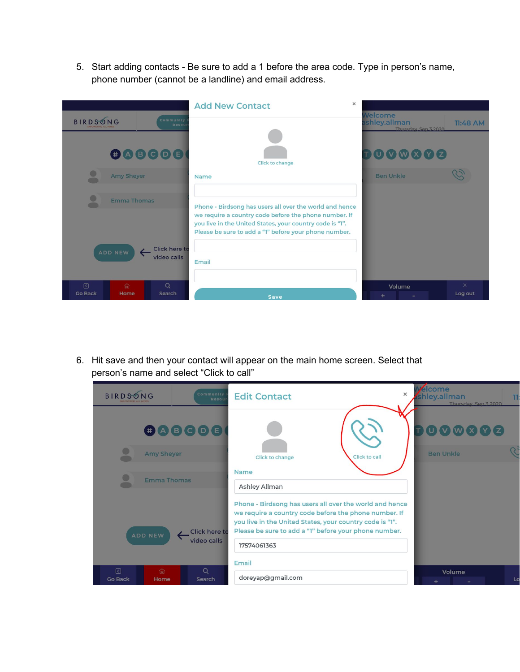5. Start adding contacts - Be sure to add a 1 before the area code. Type in person's name, phone number (cannot be a landline) and email address.



6. Hit save and then your contact will appear on the main home screen. Select that person's name and select "Click to call"